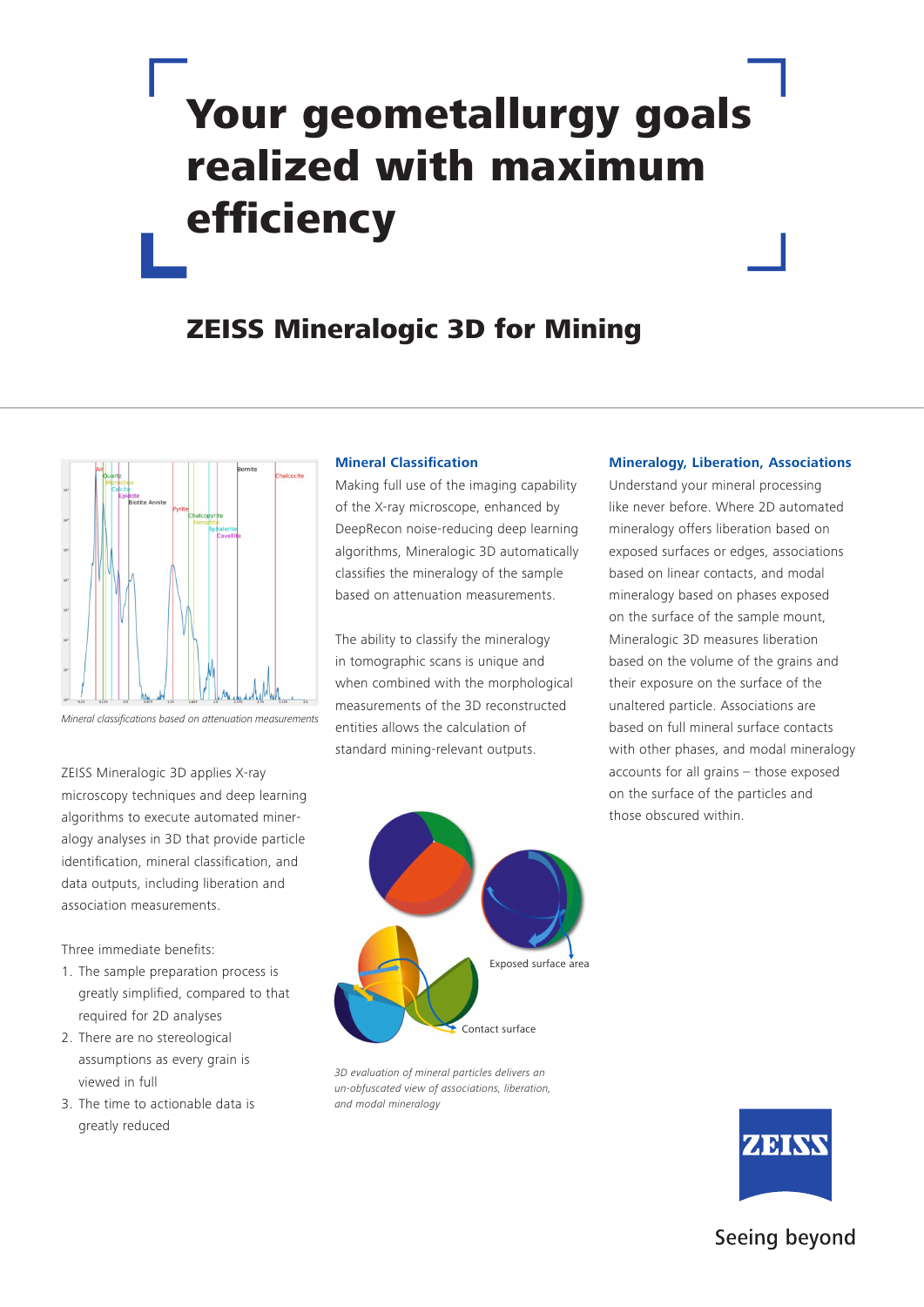# Your geometallurgy goals realized with maximum efficiency

## ZEISS Mineralogic 3D for Mining



Mineral classifications based on attenuation measurements

ZEISS Mineralogic 3D applies X-ray microscopy techniques and deep learning algorithms to execute automated mineralogy analyses in 3D that provide particle identification, mineral classification, and data outputs, including liberation and association measurements.

Three immediate benefits:

- 1. The sample preparation process is greatly simplified, compared to that required for 2D analyses
- 2. There are no stereological assumptions as every grain is viewed in full
- 3. The time to actionable data is greatly reduced

## **Mineral Classification**

Making full use of the imaging capability of the X-ray microscope, enhanced by DeepRecon noise-reducing deep learning algorithms, Mineralogic 3D automatically classifies the mineralogy of the sample based on attenuation measurements.

The ability to classify the mineralogy in tomographic scans is unique and when combined with the morphological measurements of the 3D reconstructed entities allows the calculation of standard mining-relevant outputs.



*3D evaluation of mineral particles delivers an un-obfuscated view of associations, liberation, and modal mineralogy*

#### **Mineralogy, Liberation, Associations**

Understand your mineral processing like never before. Where 2D automated mineralogy offers liberation based on exposed surfaces or edges, associations based on linear contacts, and modal mineralogy based on phases exposed on the surface of the sample mount, Mineralogic 3D measures liberation based on the volume of the grains and their exposure on the surface of the unaltered particle. Associations are based on full mineral surface contacts with other phases, and modal mineralogy accounts for all grains – those exposed on the surface of the particles and those obscured within.



## Seeing beyond